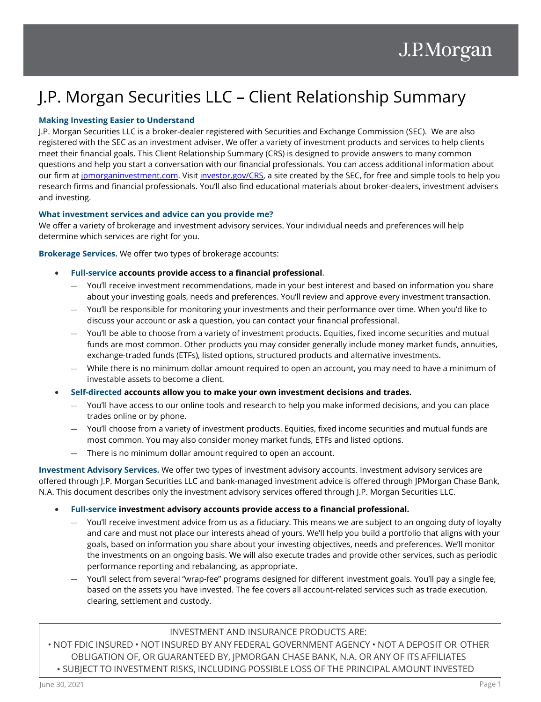# J.P. Morgan Securities LLC – Client Relationship Summary

## **Making Investing Easier to Understand**

J.P. Morgan Securities LLC is a broker-dealer registered with Securities and Exchange Commission (SEC). We are also registered with the SEC as an investment adviser. We offer a variety of investment products and services to help clients meet their financial goals. This Client Relationship Summary (CRS) is designed to provide answers to many common questions and help you start a conversation with our financial professionals. You can access additional information about our firm a[t jpmorganinvestment.com.](https://investment.jpmorgan.com/) Visit [investor.gov/CRS,](https://www.investor.gov/CRS) a site created by the SEC, for free and simple tools to help you research firms and financial professionals. You'll also find educational materials about broker-dealers, investment advisers and investing.

### **What investment services and advice can you provide me?**

We offer a variety of brokerage and investment advisory services. Your individual needs and preferences will help determine which services are right for you.

**Brokerage Services.** We offer two types of brokerage accounts:

- **Full-service accounts provide access to a financial professional.** 
	- You'll receive investment recommendations, made in your best interest and based on information you share about your investing goals, needs and preferences. You'll review and approve every investment transaction.
	- You'll be responsible for monitoring your investments and their performance over time. When you'd like to discuss your account or ask a question, you can contact your financial professional.
	- You'll be able to choose from a variety of investment products. Equities, fixed income securities and mutual funds are most common. Other products you may consider generally include money market funds, annuities, exchange-traded funds (ETFs), listed options, structured products and alternative investments.
	- While there is no minimum dollar amount required to open an account, you may need to have a minimum of investable assets to become a client.
- **Self-directed accounts allow you to make your own investment decisions and trades.**
	- You'll have access to our online tools and research to help you make informed decisions, and you can place trades online or by phone.
	- You'll choose from a variety of investment products. Equities, fixed income securities and mutual funds are most common. You may also consider money market funds, ETFs and listed options.
	- There is no minimum dollar amount required to open an account.

**Investment Advisory Services.** We offer two types of investment advisory accounts. Investment advisory services are offered through J.P. Morgan Securities LLC and bank-managed investment advice is offered through JPMorgan Chase Bank, N.A. This document describes only the investment advisory services offered through J.P. Morgan Securities LLC.

- **Full-service investment advisory accounts provide access to a financial professional.**
	- You'll receive investment advice from us as a fiduciary. This means we are subject to an ongoing duty of loyalty and care and must not place our interests ahead of yours. We'll help you build a portfolio that aligns with your goals, based on information you share about your investing objectives, needs and preferences. We'll monitor the investments on an ongoing basis. We will also execute trades and provide other services, such as periodic performance reporting and rebalancing, as appropriate.
	- You'll select from several "wrap-fee" programs designed for different investment goals. You'll pay a single fee, based on the assets you have invested. The fee covers all account-related services such as trade execution, clearing, settlement and custody.

## INVESTMENT AND INSURANCE PRODUCTS ARE:

• NOT FDIC INSURED • NOT INSURED BY ANY FEDERAL GOVERNMENT AGENCY • NOT A DEPOSIT OR OTHER OBLIGATION OF, OR GUARANTEED BY, JPMORGAN CHASE BANK, N.A. OR ANY OF ITS AFFILIATES • SUBJECT TO INVESTMENT RISKS, INCLUDING POSSIBLE LOSS OF THE PRINCIPAL AMOUNT INVESTED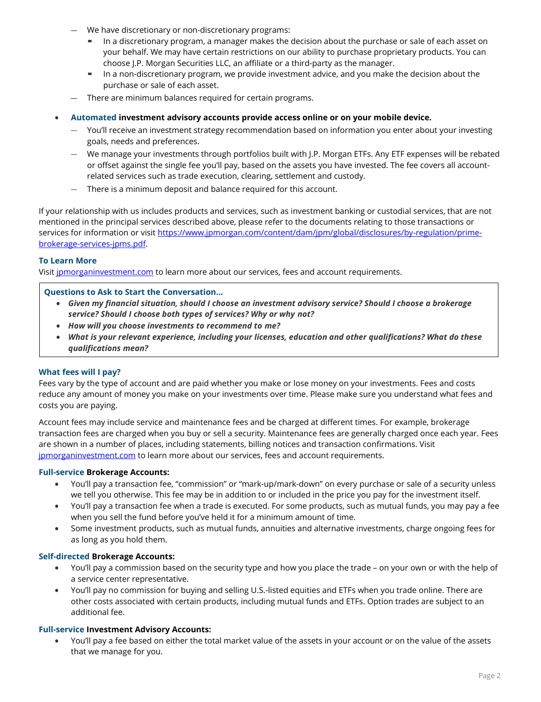- We have discretionary or non-discretionary programs:
	- In a discretionary program, a manager makes the decision about the purchase or sale of each asset on your behalf. We may have certain restrictions on our ability to purchase proprietary products. You can choose J.P. Morgan Securities LLC, an affiliate or a third-party as the manager.
	- In a non-discretionary program, we provide investment advice, and you make the decision about the purchase or sale of each asset.
- There are minimum balances required for certain programs.
- **Automated investment advisory accounts provide access online or on your mobile device.** 
	- You'll receive an investment strategy recommendation based on information you enter about your investing goals, needs and preferences.
	- We manage your investments through portfolios built with J.P. Morgan ETFs. Any ETF expenses will be rebated or offset against the single fee you'll pay, based on the assets you have invested. The fee covers all accountrelated services such as trade execution, clearing, settlement and custody.
	- There is a minimum deposit and balance required for this account.

If your relationship with us includes products and services, such as investment banking or custodial services, that are not mentioned in the principal services described above, please refer to the documents relating to those transactions or services for information or visit [https://www.jpmorgan.com/content/dam/jpm/global/disclosures/by-regulation/prime](https://www.jpmorgan.com/content/dam/jpm/global/disclosures/by-regulation/prime-brokerage-services-jpms.pdf)[brokerage-services-jpms.pdf.](https://www.jpmorgan.com/content/dam/jpm/global/disclosures/by-regulation/prime-brokerage-services-jpms.pdf) 

#### **To Learn More**

Visit [jpmorganinvestment.com](https://investment.jpmorgan.com/) to learn more about our services, fees and account requirements.

#### **Questions to Ask to Start the Conversation…**

- *Given my financial situation, should I choose an investment advisory service? Should I choose a brokerage service? Should I choose both types of services? Why or why not?*
- *How will you choose investments to recommend to me?*
- *What is your relevant experience, including your licenses, education and other qualifications? What do these qualifications mean?*

### **What fees will I pay?**

Fees vary by the type of account and are paid whether you make or lose money on your investments. Fees and costs reduce any amount of money you make on your investments over time. Please make sure you understand what fees and costs you are paying.

Account fees may include service and maintenance fees and be charged at different times. For example, brokerage transaction fees are charged when you buy or sell a security. Maintenance fees are generally charged once each year. Fees are shown in a number of places, including statements, billing notices and transaction confirmations. Visit [jpmorganinvestment.com](https://investment.jpmorgan.com/) to learn more about our services, fees and account requirements.

#### **Full-service Brokerage Accounts:**

- You'll pay a transaction fee, "commission" or "mark-up/mark-down" on every purchase or sale of a security unless we tell you otherwise. This fee may be in addition to or included in the price you pay for the investment itself.
- You'll pay a transaction fee when a trade is executed. For some products, such as mutual funds, you may pay a fee when you sell the fund before you've held it for a minimum amount of time.
- Some investment products, such as mutual funds, annuities and alternative investments, charge ongoing fees for as long as you hold them.

#### **Self-directed Brokerage Accounts:**

- You'll pay a commission based on the security type and how you place the trade on your own or with the help of a service center representative.
- You'll pay no commission for buying and selling U.S.-listed equities and ETFs when you trade online. There are other costs associated with certain products, including mutual funds and ETFs. Option trades are subject to an additional fee.

#### **Full-service Investment Advisory Accounts:**

• You'll pay a fee based on either the total market value of the assets in your account or on the value of the assets that we manage for you.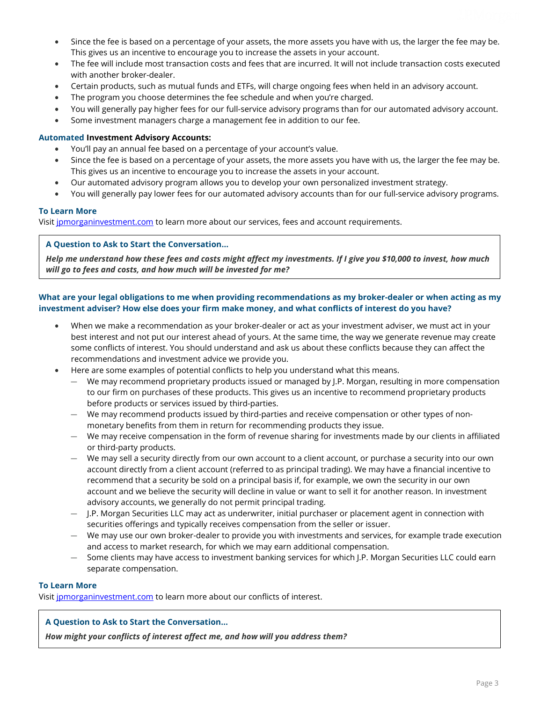- Since the fee is based on a percentage of your assets, the more assets you have with us, the larger the fee may be. This gives us an incentive to encourage you to increase the assets in your account.
- The fee will include most transaction costs and fees that are incurred. It will not include transaction costs executed with another broker-dealer.
- Certain products, such as mutual funds and ETFs, will charge ongoing fees when held in an advisory account.
- The program you choose determines the fee schedule and when you're charged.
- You will generally pay higher fees for our full-service advisory programs than for our automated advisory account.
- Some investment managers charge a management fee in addition to our fee.

## **Automated Investment Advisory Accounts:**

- You'll pay an annual fee based on a percentage of your account's value.
- Since the fee is based on a percentage of your assets, the more assets you have with us, the larger the fee may be. This gives us an incentive to encourage you to increase the assets in your account.
- Our automated advisory program allows you to develop your own personalized investment strategy.
- You will generally pay lower fees for our automated advisory accounts than for our full-service advisory programs.

## **To Learn More**

Visit [jpmorganinvestment.com](https://investment.jpmorgan.com/) to learn more about our services, fees and account requirements.

## **A Question to Ask to Start the Conversation…**

*Help me understand how these fees and costs might affect my investments. If I give you \$10,000 to invest, how much will go to fees and costs, and how much will be invested for me?*

## **What are your legal obligations to me when providing recommendations as my broker-dealer or when acting as my investment adviser? How else does your firm make money, and what conflicts of interest do you have?**

- When we make a recommendation as your broker-dealer or act as your investment adviser, we must act in your best interest and not put our interest ahead of yours. At the same time, the way we generate revenue may create some conflicts of interest. You should understand and ask us about these conflicts because they can affect the recommendations and investment advice we provide you.
- Here are some examples of potential conflicts to help you understand what this means.
	- We may recommend proprietary products issued or managed by J.P. Morgan, resulting in more compensation to our firm on purchases of these products. This gives us an incentive to recommend proprietary products before products or services issued by third-parties.
	- We may recommend products issued by third-parties and receive compensation or other types of nonmonetary benefits from them in return for recommending products they issue.
	- We may receive compensation in the form of revenue sharing for investments made by our clients in affiliated or third-party products.
	- We may sell a security directly from our own account to a client account, or purchase a security into our own account directly from a client account (referred to as principal trading). We may have a financial incentive to recommend that a security be sold on a principal basis if, for example, we own the security in our own account and we believe the security will decline in value or want to sell it for another reason. In investment advisory accounts, we generally do not permit principal trading.
	- J.P. Morgan Securities LLC may act as underwriter, initial purchaser or placement agent in connection with securities offerings and typically receives compensation from the seller or issuer.
	- We may use our own broker-dealer to provide you with investments and services, for example trade execution and access to market research, for which we may earn additional compensation.
	- Some clients may have access to investment banking services for which J.P. Morgan Securities LLC could earn separate compensation.

## **To Learn More**

Visit jomorganinvestment.com to learn more about our conflicts of interest.

## **A Question to Ask to Start the Conversation…**

*How might your conflicts of interest affect me, and how will you address them?*